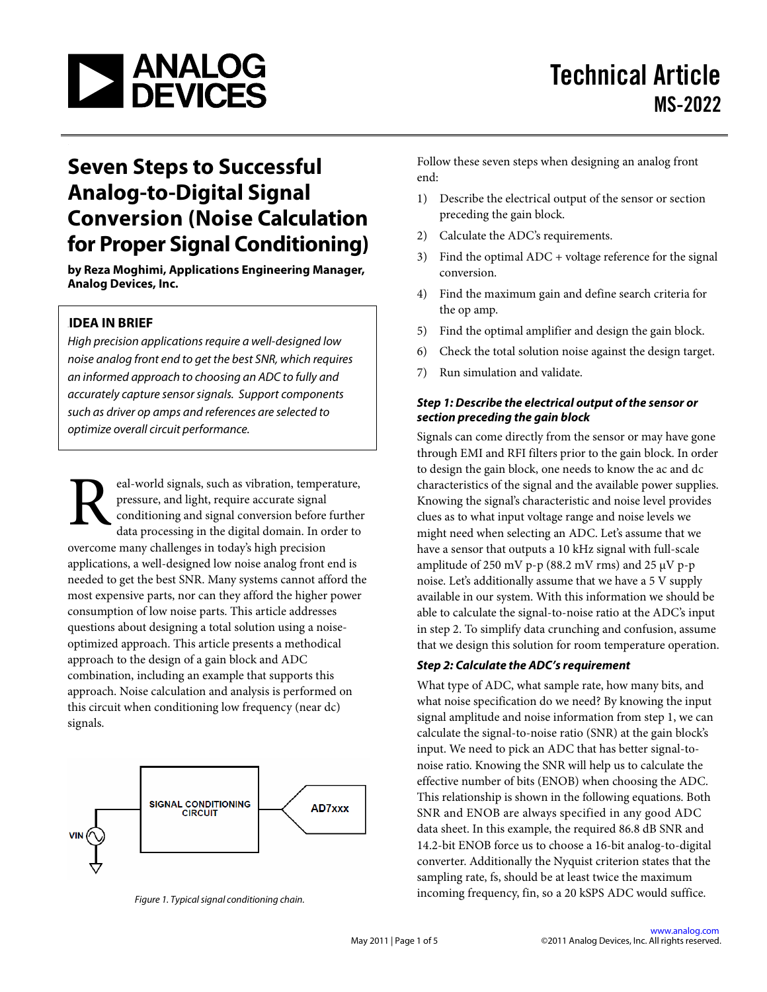

# **Seven Steps to Successful Analog-to-Digital Signal Conversion (Noise Calculation for Proper Signal Conditioning)**<br>by Reza Moghimi, Applications Engineering Manager,

**Analog Devices, Inc.**

### **IDEA IN BRIEF**

*High precision applications require a well-designed low noise analog front end to get the best SNR, which requires an informed approach to choosing an ADC to fully and accurately capture sensor signals. Support components such as driver op amps and references are selected to optimize overall circuit performance.*

eal-world signals, such as vibration, temperature, pressure, and light, require accurate signal conditioning and signal conversion before further data processing in the digital domain. In order to overcome many challenges in today's high precision applications, a well-designed low noise analog front end is needed to get the best SNR. Many systems cannot afford the most expensive parts, nor can they afford the higher power consumption of low noise parts. This article addresses questions about designing a total solution using a noiseoptimized approach. This article presents a methodical approach to the design of a gain block and ADC combination, including an example that supports this approach. Noise calculation and analysis is performed on this circuit when conditioning low frequency (near dc) signals.  $R_{\tiny \tiny \begin{array}{c} \scriptscriptstyle \text{eff} \\ \scriptscriptstyle \text{de} \end{array}}^{\tiny \tiny \text{eq}}$ 



*Figure 1. Typical signal conditioning chain.* 

Follow these seven steps when designing an analog front end:

- 1) Describe the electrical output of the sensor or section preceding the gain block.
- 2) Calculate the ADC's requirements.
- 3) Find the optimal ADC + voltage reference for the signal conversion.
- 4) Find the maximum gain and define search criteria for the op amp.
- 5) Find the optimal amplifier and design the gain block.
- 6) Check the total solution noise against the design target.
- 7) Run simulation and validate.

### *Step 1: Describe the electrical output of the sensor or section preceding the gain block*

Signals can come directly from the sensor or may have gone through EMI and RFI filters prior to the gain block. In order to design the gain block, one needs to know the ac and dc characteristics of the signal and the available power supplies. Knowing the signal's characteristic and noise level provides clues as to what input voltage range and noise levels we might need when selecting an ADC. Let's assume that we have a sensor that outputs a 10 kHz signal with full-scale amplitude of 250 mV p-p (88.2 mV rms) and 25  $\mu$ V p-p noise. Let's additionally assume that we have a 5 V supply available in our system. With this information we should be able to calculate the signal-to-noise ratio at the ADC's input in step 2. To simplify data crunching and confusion, assume that we design this solution for room temperature operation.

### *Step 2: Calculate the ADC's requirement*

What type of ADC, what sample rate, how many bits, and what noise specification do we need? By knowing the input signal amplitude and noise information from step 1, we can calculate the signal-to-noise ratio (SNR) at the gain block's input. We need to pick an ADC that has better signal-tonoise ratio. Knowing the SNR will help us to calculate the effective number of bits (ENOB) when choosing the ADC. This relationship is shown in the following equations. Both SNR and ENOB are always specified in any good ADC data sheet. In this example, the required 86.8 dB SNR and 14.2-bit ENOB force us to choose a 16-bit analog-to-digital converter. Additionally the Nyquist criterion states that the sampling rate, fs, should be at least twice the maximum incoming frequency, fin, so a 20 kSPS ADC would suffice.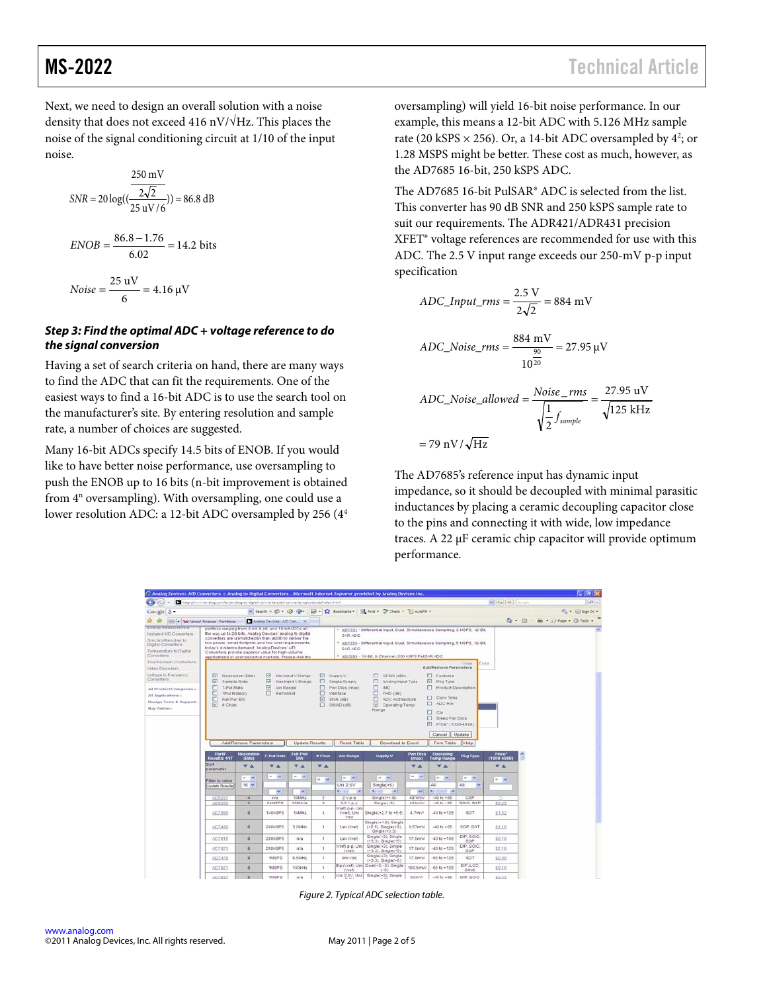Next, we need to design an overall solution with a noise

density that does not exceed 416 nV/ $\sqrt{Hz}$ . This places the noise of the signal conditioning circuit at 1/10 of the input noise.

$$
SNR = 20 \log((\frac{2\sqrt{2}}{25 \text{ uV}/6})) = 86.8 \text{ dB}
$$
  
 
$$
ENOB = \frac{86.8 - 1.76}{6.02} = 14.2 \text{ bits}
$$
  
 
$$
Noise = \frac{25 \text{ uV}}{6} = 4.16 \text{ }\mu\text{V}
$$

### *Step 3: Find the optimal ADC + voltage reference to do the signal conversion*

Having a set of search criteria on hand, there are many ways to find the ADC that can fit the requirements. One of the easiest ways to find a 16-bit ADC is to use the search tool on the manufacturer's site. By entering resolution and sample rate, a number of choices are suggested.

Many 16-bit ADCs specify 14.5 bits of ENOB. If you would like to have better noise performance, use oversampling to push the ENOB up to 16 bits (n-bit improvement is obtained from  $4^n$  oversampling). With oversampling, one could use a lower resolution ADC: a 12-bit ADC oversampled by 256 (44 oversampling) will yield 16-bit noise performance. In our example, this means a 12-bit ADC with 5.126 MHz sample rate (20 kSPS  $\times$  256). Or, a 14-bit ADC oversampled by 4<sup>2</sup>; or 1.28 MSPS might be better. These cost as much, however, as the AD7685 16-bit, 250 kSPS ADC.

The AD7685 16-bit PulSAR® ADC is selected from the list. This converter has 90 dB SNR and 250 kSPS sample rate to suit our requirements. The ADR421/ADR431 precision XFET® voltage references are recommended for use with this ADC. The 2.5 V input range exceeds our 250-mV p-p input specification

$$
ADC\_Input\_rms = \frac{2.5 \text{ V}}{2\sqrt{2}} = 884 \text{ mV}
$$

$$
ADC\_Noise\_rms = \frac{884 \text{ mV}}{10^{\frac{90}{20}}} = 27.95 \text{ }\mu\text{V}
$$

$$
ADC\_Noise\_allowed = \frac{Noise\_rms}{\sqrt{\frac{1}{2}f_{sample}}} = \frac{27.95 \text{ uV}}{\sqrt{125 \text{ kHz}}}
$$

$$
= 79 \text{ nV}/\sqrt{\text{Hz}}
$$

The AD7685's reference input has dynamic input impedance, so it should be decoupled with minimal parasitic inductances by placing a ceramic decoupling capacitor close to the pins and connecting it with wide, low impedance traces. A 22 μF ceramic chip capacitor will provide optimum performance.

| C Analog Devices: A/D Converters :: Analog to Digital Converters - Microsoft Internet Explorer provided by Analog Devices Inc. |                                                                                                                                                                   |                                    |                              |                                        |                |                                  |                                                                                                |                            |                                   |                     |                                                    | $-18$                             |  |
|--------------------------------------------------------------------------------------------------------------------------------|-------------------------------------------------------------------------------------------------------------------------------------------------------------------|------------------------------------|------------------------------|----------------------------------------|----------------|----------------------------------|------------------------------------------------------------------------------------------------|----------------------------|-----------------------------------|---------------------|----------------------------------------------------|-----------------------------------|--|
| $\mathbb{Z}$ and $\mathbb{Z}$                                                                                                  | http://www.analog.com/en/analog-to-diptal-comretters/ad-comretters/products/index.html                                                                            |                                    |                              |                                        |                |                                  |                                                                                                |                            |                                   |                     | $\sim$ $+$ <sub>2</sub> $\times$ <sup>3</sup> mode | $ p $ .                           |  |
| Google 8 -                                                                                                                     |                                                                                                                                                                   |                                    |                              |                                        |                |                                  | V Search + (C) + (C) + (D) + (C) Soolmarks + (C) Find + (P) Check + (F) AutoFil +              |                            |                                   |                     |                                                    | 心· @sgn bi ·                      |  |
| a or                                                                                                                           | <b>BB</b> - The Yahoo! Finance - Portfolios                                                                                                                       |                                    | Analog Devices: A/D Con X    |                                        |                |                                  |                                                                                                |                            |                                   |                     |                                                    | ◎ - 回 - mi - (a) Page - ◎ Tools - |  |
| chergi steascrement                                                                                                            | portfolio ranging from 6-bit, 8-bit, and 10-bit ADCs all                                                                                                          |                                    |                              |                                        |                |                                  | * AD7352 - Differential Input, Dual, Simultaneous Sampling, 3 MSPS, 12-Bit.                    |                            |                                   |                     |                                                    |                                   |  |
| Isolated AD Converters                                                                                                         | the way up to 28-bits, Analog Devices' analog to digital                                                                                                          |                                    |                              |                                        |                | SAR ADC:                         |                                                                                                |                            |                                   |                     |                                                    |                                   |  |
| Synchro/Resolver to<br>Digital Converters                                                                                      | converters are unmatched in their ability to deliver the<br>low power, small footprint, and low cost requirements.<br>today's systems demand. Analog Devices' A/D |                                    |                              |                                        |                |                                  | * AD7356 - Differential Input, Dual, Simultaneous Sampling, 5 MSPS, 12-Bit,                    |                            |                                   |                     |                                                    |                                   |  |
| Temperature to Digital<br>Converters                                                                                           | Converters provide superior value for high-volume<br>applications in cost-sensitive markets. Please visit the                                                     |                                    |                              |                                        |                | SAR ADC                          | * AD7699 - 16-Bit, 8-Channel, 500 kSPS PulSAR ADC                                              |                            |                                   |                     |                                                    |                                   |  |
| Touchscreen Controllers                                                                                                        |                                                                                                                                                                   |                                    |                              |                                        |                |                                  |                                                                                                |                            |                                   | + Inizia<br>Feed    |                                                    |                                   |  |
| Video Decoders                                                                                                                 |                                                                                                                                                                   |                                    |                              |                                        |                |                                  |                                                                                                |                            | AddiRemove Parameters             |                     |                                                    |                                   |  |
| Voltage to Frequency<br>Converters                                                                                             | 罓<br>G<br>Sample Rate                                                                                                                                             | Resolution (Bits)                  | 冈<br>$\overline{\mathbf{r}}$ | Min Input V Range<br>Max Input V Range |                | $\Box$ Supply V<br>Single-Supply | O.<br>SFDR (dBc)<br>Analog Input Type<br>o                                                     |                            | <b>E</b> Features<br>Phg Type     |                     |                                                    |                                   |  |
| All Product Categories »                                                                                                       | T-Put Rate                                                                                                                                                        |                                    | G<br>Ain Range               |                                        |                | Pwr Diss (max)                   | □<br><b>IMD</b>                                                                                |                            | Product Description               |                     |                                                    |                                   |  |
| All Applications +                                                                                                             | TPutRate(s)                                                                                                                                                       |                                    | ET.<br>RefintExt             |                                        | ⊡              | Interface                        | □<br>THD (dB)                                                                                  |                            | Conv Time                         |                     |                                                    |                                   |  |
| Design Tools & Support -                                                                                                       | Full Pwc BW<br>$\boxed{\vee}$ # Chan                                                                                                                              |                                    |                              |                                        | ⊡<br>п         | SNR (dB)<br>$SIBLAD$ $(dB)$      | ▭<br>ADC Architecture<br>Contating Temp                                                        |                            | <b>EL ADC Rin</b>                 |                     |                                                    |                                   |  |
| Buy Online -                                                                                                                   |                                                                                                                                                                   |                                    |                              |                                        |                |                                  | Range                                                                                          |                            |                                   |                     |                                                    |                                   |  |
|                                                                                                                                |                                                                                                                                                                   |                                    |                              |                                        |                |                                  |                                                                                                |                            | Π.<br>Cin<br>п.<br>Sleep Pay Diss |                     |                                                    |                                   |  |
|                                                                                                                                |                                                                                                                                                                   |                                    |                              |                                        |                |                                  |                                                                                                |                            | Price* (1000-4999)                |                     |                                                    |                                   |  |
|                                                                                                                                |                                                                                                                                                                   |                                    |                              |                                        |                |                                  |                                                                                                |                            |                                   |                     |                                                    |                                   |  |
|                                                                                                                                |                                                                                                                                                                   |                                    |                              |                                        |                |                                  |                                                                                                |                            | Cancel Update                     |                     |                                                    |                                   |  |
|                                                                                                                                |                                                                                                                                                                   | Add/Remove Parameters              |                              | <b>Update Results</b>                  |                | Reset Table                      | Download to Excel                                                                              |                            | Print Table                       | Help                |                                                    |                                   |  |
|                                                                                                                                |                                                                                                                                                                   |                                    |                              |                                        |                |                                  |                                                                                                |                            |                                   |                     |                                                    |                                   |  |
|                                                                                                                                | Part#<br>Results: 417                                                                                                                                             | <b>Resolution</b><br><b>CEGES)</b> | <b>T-Put Rate</b>            | Full Pwt<br><b>BW</b>                  | # Chan         | <b>Ain Range</b>                 | <b>Supply V</b>                                                                                | <b>Part Disss</b><br>(max) | Operating<br><b>Temp Range</b>    | <b>Pkg Type</b>     | Price"<br>(1000-4999)                              |                                   |  |
|                                                                                                                                | <b>Bort</b><br>parameter                                                                                                                                          | <b>VA</b>                          | <b>VA</b>                    | <b>VA</b>                              | <b>VA</b>      |                                  |                                                                                                | <b>VA</b>                  | <b>VA</b>                         |                     | <b>VA</b>                                          |                                   |  |
|                                                                                                                                |                                                                                                                                                                   |                                    | $=$ $\sim$                   | $=$ $\vee$                             |                |                                  |                                                                                                | $=$ $-$                    |                                   |                     |                                                    |                                   |  |
|                                                                                                                                | Filter by value                                                                                                                                                   | $=$ $-$                            |                              |                                        | $=$ $-$        | $-1$                             | $\frac{1}{2} \left( \frac{1}{2} \right) \left( \frac{1}{2} \right) \left( \frac{1}{2} \right)$ |                            | $-1.95$                           | $\sim$<br>$\infty$  | $=$ $\vee$                                         |                                   |  |
|                                                                                                                                | <b>Jodate Results</b>                                                                                                                                             | $16 -$                             |                              |                                        |                | Uni 2 5V                         | $Single(*5)$                                                                                   |                            | All                               | All<br>isi          |                                                    |                                   |  |
|                                                                                                                                |                                                                                                                                                                   |                                    | ×                            | $\mathbf{w}$                           |                | $\sim$ $\rightarrow$             | 5 <sup>1</sup><br>12                                                                           | $\sim$                     | $\leq$ $\frac{1}{2}$              |                     |                                                    |                                   |  |
|                                                                                                                                | AD9267                                                                                                                                                            | ×                                  | na                           | 10MHz                                  | 2              | $2Vp-p$                          | $Sindie(-1.8)$                                                                                 | 481mW                      | $-40$ to $+85$                    | CSP                 | $\overline{a}$                                     |                                   |  |
|                                                                                                                                | AD9000                                                                                                                                                            | s                                  | COMSPS                       | 100MHz                                 | $\mathfrak{D}$ | $0.5V$ p.p.<br>Vref) p-p. Uni    | Dingle(+5)                                                                                     | 400mW                      | $-40$ to $+85$                    | solc, sor-          | \$5.52                                             |                                   |  |
|                                                                                                                                | AD7999                                                                                                                                                            | a.                                 | 140kSPS                      | 14MHz                                  | 41             | (Vref), Uni<br>Vdd               | Single(-2.7 to +5.5)                                                                           | 4.7mW                      | $-40$ to $+125$                   | SOT                 | \$1.52                                             |                                   |  |
|                                                                                                                                | AD7468                                                                                                                                                            | $\bar{a}$                          | 2006989                      | 3.2MHz                                 | л.             | Uni (Vref):                      | Single(+1.8), Single<br>$(+2.5)$ , Single(+3).<br>$Single( + 3.3)$                             | $0.57$ m/M                 | $-40$ to $+85$                    | SOP. SOT            | 51.16                                              |                                   |  |
|                                                                                                                                | AD7819                                                                                                                                                            | $\mathbf{B}$                       | 200kSPS                      | nia                                    | ٠.             | Uni (Vref)                       | Single(+3), Single<br>$(+3.3),$ Single(+5)                                                     | 17.5mW                     | $-40 to +105$                     | DIP, SOIC.<br>SOP   | \$2.18                                             |                                   |  |
|                                                                                                                                | 607823                                                                                                                                                            | $\alpha$                           | 200kSPS                      | nia                                    | 11             | Vref) p-p. Un<br>(Vref)          | Single(+3); Single<br>$(-3.3)$ , Single(+5)                                                    | 17.5mW                     | $-40$ to $+125$                   | DIP, SOIC.<br>SOP   | \$2.10                                             |                                   |  |
|                                                                                                                                | AD7478                                                                                                                                                            | $\alpha$                           | <b>1MSPS</b>                 | 6.5MHz                                 | х.             | Unii Vdd                         | Single(+3), Single<br>$(+3.3)$ , Single(+5)                                                    | 17.5mW                     | $-65$ to $+125$                   | SOT                 | \$0.95                                             |                                   |  |
|                                                                                                                                | 607821                                                                                                                                                            | $\alpha$                           | <b>1MSPS</b>                 | 1001342                                | ×.             | Bio (Wef), Uni-<br>(Vref)        | Dual(+5, -5), Dingle<br>$(-5)$                                                                 | 100.5mW                    | $-65$ to $+125$                   | DIP. LCC.<br>SOIC   | \$9.10                                             |                                   |  |
|                                                                                                                                | <b>CONTRACTOR</b>                                                                                                                                                 | $\sim$                             | assessed to                  |                                        |                | Uni 2.0V. Uni                    | Single(+3), Single                                                                             | <b>California College</b>  | <b>CARL LAB</b>                   | <b>MARK MORALES</b> | <b>ALCOHOL</b>                                     |                                   |  |

*Figure 2. Typical ADC selection table.*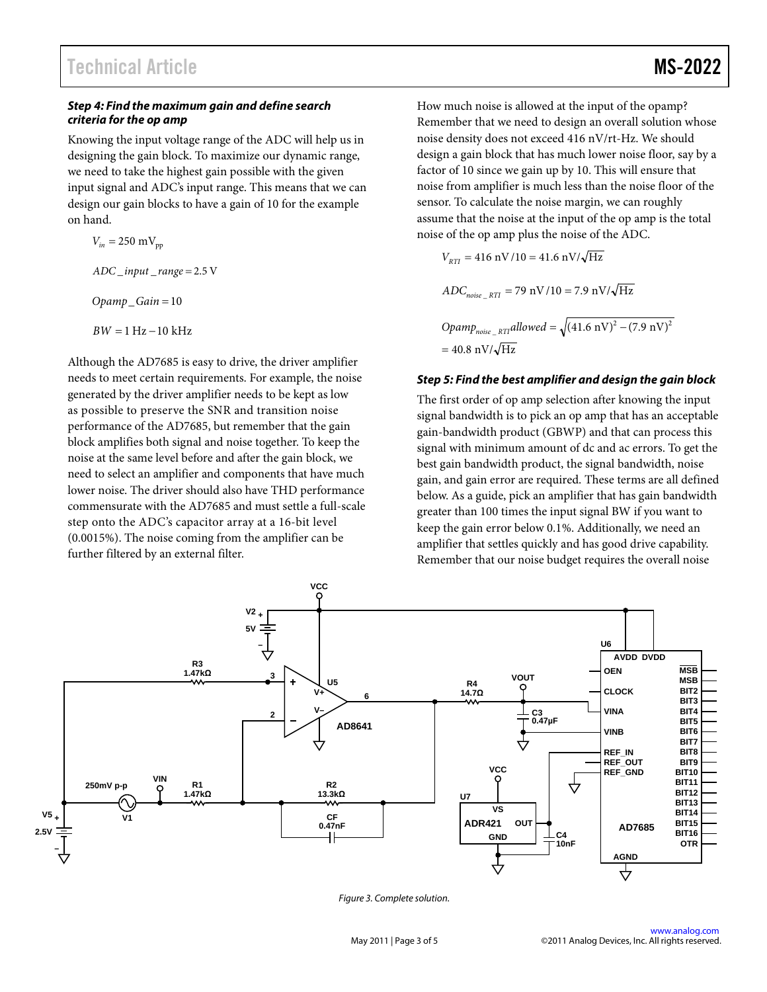### *Step 4: Find the maximum gain and define search criteria for the op amp*

Knowing the input voltage range of the ADC will help us in designing the gain block. To maximize our dynamic range, we need to take the highest gain possible with the given input signal and ADC's input range. This means that we can design our gain blocks to have a gain of 10 for the example on hand.

 $V_{in} = 250 \text{ mV}_{pp}$  $ADC$  *\_input* \_ *range* = 2.5 V *Opamp*\_*Gain* = 10  $BW = 1 Hz - 10 kHz$ 

Although the AD7685 is easy to drive, the driver amplifier needs to meet certain requirements. For example, the noise generated by the driver amplifier needs to be kept as low as possible to preserve the SNR and transition noise performance of the AD7685, but remember that the gain block amplifies both signal and noise together. To keep the noise at the same level before and after the gain block, we need to select an amplifier and components that have much lower noise. The driver should also have THD performance commensurate with the AD7685 and must settle a full-scale step onto the ADC's capacitor array at a 16-bit level (0.0015%). The noise coming from the amplifier can be further filtered by an external filter.

How much noise is allowed at the input of the opamp? Remember that we need to design an overall solution whose noise density does not exceed 416 nV/rt-Hz. We should design a gain block that has much lower noise floor, say by a factor of 10 since we gain up by 10. This will ensure that noise from amplifier is much less than the noise floor of the sensor. To calculate the noise margin, we can roughly assume that the noise at the input of the op amp is the total noise of the op amp plus the noise of the ADC.

$$
V_{RTI} = 416 \text{ nV}/10 = 41.6 \text{ nV}/\sqrt{\text{Hz}}
$$
  
ADC<sub>noise\_RTI</sub> = 79 \text{ nV}/10 = 7.9 \text{ nV}/\sqrt{\text{Hz}}  
Opamp<sub>noise\_RTI</sub>allowed =  $\sqrt{(41.6 \text{ nV})^2 - (7.9 \text{ nV})^2}$   
= 40.8 \text{ nV}/\sqrt{\text{Hz}}

### *Step 5: Find the best amplifier and design the gain block*

The first order of op amp selection after knowing the input signal bandwidth is to pick an op amp that has an acceptable gain-bandwidth product (GBWP) and that can process this signal with minimum amount of dc and ac errors. To get the best gain bandwidth product, the signal bandwidth, noise gain, and gain error are required. These terms are all defined below. As a guide, pick an amplifier that has gain bandwidth greater than 100 times the input signal BW if you want to keep the gain error below 0.1%. Additionally, we need an amplifier that settles quickly and has good drive capability. Remember that our noise budget requires the overall noise



*Figure 3. Complete solution.*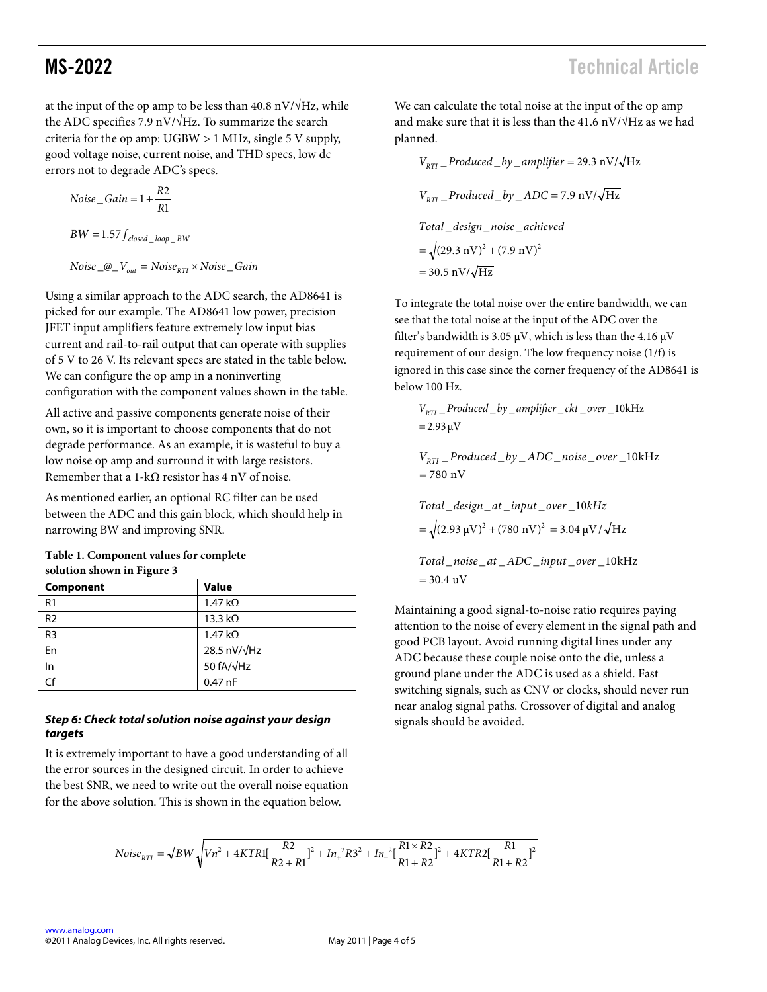at the input of the op amp to be less than 40.8 nV/ $\sqrt{Hz}$ , while the ADC specifies 7.9 nV/ $\sqrt{Hz}$ . To summarize the search criteria for the op amp: UGBW > 1 MHz, single 5 V supply, good voltage noise, current noise, and THD specs, low dc errors not to degrade ADC's specs.

$$
Noise\_Gain = 1 + \frac{R2}{R1}
$$

$$
BW = 1.57 f_{closed\_loop\_BW}
$$

 $Noise_{\_}Q_{\_}V_{out} = Noise_{RTI} \times Noise_{\_}Gain$ 

Using a similar approach to the ADC search, the AD8641 is picked for our example. The AD8641 low power, precision JFET input amplifiers feature extremely low input bias current and rail-to-rail output that can operate with supplies of 5 V to 26 V. Its relevant specs are stated in the table below. We can configure the op amp in a noninverting configuration with the component values shown in the table.

All active and passive components generate noise of their own, so it is important to choose components that do not degrade performance. As an example, it is wasteful to buy a low noise op amp and surround it with large resistors. Remember that a 1-k $\Omega$  resistor has 4 nV of noise.

As mentioned earlier, an optional RC filter can be used between the ADC and this gain block, which should help in narrowing BW and improving SNR.

| Table 1. Component values for complete |
|----------------------------------------|
| solution shown in Figure 3             |

| <b>Value</b>           |
|------------------------|
| $1.47 \text{ k}\Omega$ |
| 13.3 $k\Omega$         |
| $1.47 \text{ k}\Omega$ |
| 28.5 nV/ $\sqrt{Hz}$   |
| 50 fA/ $\sqrt{Hz}$     |
| $0.47$ nF              |
|                        |

### *Step 6: Check total solution noise against your design targets*

It is extremely important to have a good understanding of all the error sources in the designed circuit. In order to achieve the best SNR, we need to write out the overall noise equation for the above solution. This is shown in the equation below.

We can calculate the total noise at the input of the op amp and make sure that it is less than the 41.6 nV/ $\sqrt{Hz}$  as we had planned.

$$
V_{RTI} \_ produced\_by\_amplifier = 29.3 \text{ nV}/\sqrt{\text{Hz}}
$$
\n
$$
V_{RTI} \_ produced\_by \_ ADC = 7.9 \text{ nV}/\sqrt{\text{Hz}}
$$
\n
$$
Total\_design\_noise\_achieved
$$
\n
$$
= \sqrt{(29.3 \text{ nV})^2 + (7.9 \text{ nV})^2}
$$
\n
$$
= 30.5 \text{ nV}/\sqrt{\text{Hz}}
$$

To integrate the total noise over the entire bandwidth, we can see that the total noise at the input of the ADC over the filter's bandwidth is 3.05  $\mu$ V, which is less than the 4.16  $\mu$ V requirement of our design. The low frequency noise (1/f) is ignored in this case since the corner frequency of the AD8641 is below 100 Hz.

93.2 μV \_ 10\_\_\_\_\_ kHz = *<sup>V</sup> Produced by amplifier overckt RTI*

780 nV \_ 10\_\_\_\_\_ kHz = *V Produced by ADC overnoise RTI*

Total \_design\_at\_input\_ over \_10kHz  
= 
$$
\sqrt{(2.93 \text{ }\mu\text{V})^2 + (780 \text{ }\text{N})^2}
$$
 = 3.04  $\mu\text{V}/\sqrt{\text{Hz}}$ 

 $= 30.4 \text{ uV}$  $Total\_noise\_at\_ADC\_input\_over\_10kHz$ <br> **20.4 vV** 

Maintaining a good signal-to-noise ratio requires paying attention to the noise of every element in the signal path and good PCB layout. Avoid running digital lines under any ADC because these couple noise onto the die, unless a ground plane under the ADC is used as a shield. Fast switching signals, such as CNV or clocks, should never run near analog signal paths. Crossover of digital and analog signals should be avoided.

$$
Noise_{RTI} = \sqrt{BW} \sqrt{Vn^2 + 4KTR1[\frac{R2}{R2 + R1}]^2 + In_+^2R3^2 + In_-^2[\frac{R1 \times R2}{R1 + R2}]^2 + 4KTR2[\frac{R1}{R1 + R2}]^2}
$$